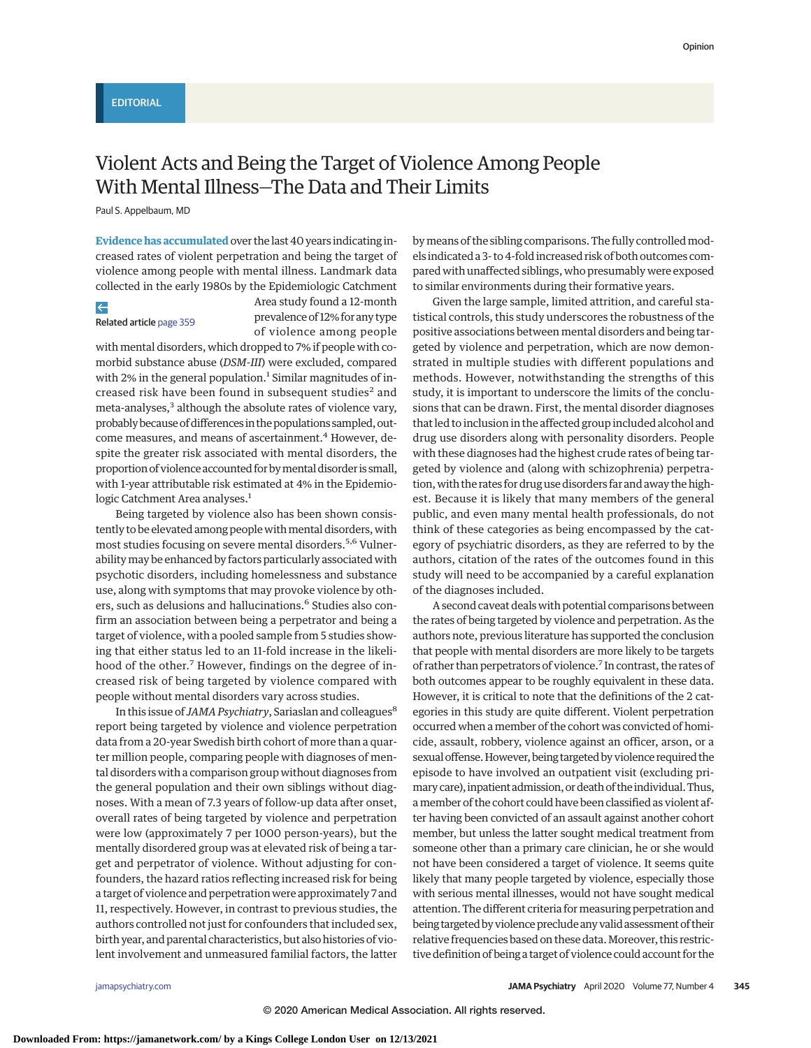# Violent Acts and Being the Target of Violence Among People With Mental Illness—The Data and Their Limits

Paul S. Appelbaum, MD

**Evidence has accumulated** over the last 40 years indicating increased rates of violent perpetration and being the target of violence among people with mental illness. Landmark data collected in the early 1980s by the Epidemiologic Catchment

# $\leftarrow$

Related article [page 359](https://jamanetwork.com/journals/jama/fullarticle/10.1001/jamapsychiatry.2019.4275?utm_campaign=articlePDF%26utm_medium=articlePDFlink%26utm_source=articlePDF%26utm_content=jamapsychiatry.2019.4266)

Area study found a 12-month prevalence of 12% for any type of violence among people

with mental disorders, which dropped to 7% if people with comorbid substance abuse (*DSM-III*) were excluded, compared with 2% in the general population.<sup>1</sup> Similar magnitudes of increased risk have been found in subsequent studies<sup>2</sup> and meta-analyses,<sup>3</sup> although the absolute rates of violence vary, probably because of differences in the populations sampled, outcome measures, and means of ascertainment.<sup>4</sup> However, despite the greater risk associated with mental disorders, the proportion of violence accounted for by mental disorder is small, with 1-year attributable risk estimated at 4% in the Epidemiologic Catchment Area analyses.<sup>1</sup>

Being targeted by violence also has been shown consistently to be elevated among people with mental disorders, with most studies focusing on severe mental disorders.<sup>5,6</sup> Vulnerabilitymay be enhanced by factors particularly associated with psychotic disorders, including homelessness and substance use, along with symptoms that may provoke violence by others, such as delusions and hallucinations.<sup>6</sup> Studies also confirm an association between being a perpetrator and being a target of violence, with a pooled sample from 5 studies showing that either status led to an 11-fold increase in the likelihood of the other.<sup>7</sup> However, findings on the degree of increased risk of being targeted by violence compared with people without mental disorders vary across studies.

In this issue of *JAMA Psychiatry*, Sariaslan and colleagues<sup>8</sup> report being targeted by violence and violence perpetration data from a 20-year Swedish birth cohort of more than a quarter million people, comparing people with diagnoses of mental disorders with a comparison group without diagnoses from the general population and their own siblings without diagnoses. With a mean of 7.3 years of follow-up data after onset, overall rates of being targeted by violence and perpetration were low (approximately 7 per 1000 person-years), but the mentally disordered group was at elevated risk of being a target and perpetrator of violence. Without adjusting for confounders, the hazard ratios reflecting increased risk for being a target of violence and perpetration were approximately 7 and 11, respectively. However, in contrast to previous studies, the authors controlled not just for confounders that included sex, birth year, and parental characteristics, but also histories of violent involvement and unmeasured familial factors, the latter by means of the sibling comparisons. The fully controlled models indicated a 3- to 4-fold increased risk of both outcomes compared with unaffected siblings, who presumably were exposed to similar environments during their formative years.

Given the large sample, limited attrition, and careful statistical controls, this study underscores the robustness of the positive associations between mental disorders and being targeted by violence and perpetration, which are now demonstrated in multiple studies with different populations and methods. However, notwithstanding the strengths of this study, it is important to underscore the limits of the conclusions that can be drawn. First, the mental disorder diagnoses that led to inclusion in the affected group included alcohol and drug use disorders along with personality disorders. People with these diagnoses had the highest crude rates of being targeted by violence and (along with schizophrenia) perpetration, with the rates for drug use disorders far and away the highest. Because it is likely that many members of the general public, and even many mental health professionals, do not think of these categories as being encompassed by the category of psychiatric disorders, as they are referred to by the authors, citation of the rates of the outcomes found in this study will need to be accompanied by a careful explanation of the diagnoses included.

A second caveat deals with potential comparisons between the rates of being targeted by violence and perpetration. As the authors note, previous literature has supported the conclusion that people with mental disorders are more likely to be targets of rather than perpetrators of violence.7 In contrast, the rates of both outcomes appear to be roughly equivalent in these data. However, it is critical to note that the definitions of the 2 categories in this study are quite different. Violent perpetration occurred when a member of the cohort was convicted of homicide, assault, robbery, violence against an officer, arson, or a sexual offense. However, being targeted by violence required the episode to have involved an outpatient visit (excluding primarycare), inpatient admission, ordeath of the individual.Thus, amember of the cohort could have been classified as violent after having been convicted of an assault against another cohort member, but unless the latter sought medical treatment from someone other than a primary care clinician, he or she would not have been considered a target of violence. It seems quite likely that many people targeted by violence, especially those with serious mental illnesses, would not have sought medical attention. The different criteria for measuring perpetration and being targeted by violence preclude any valid assessment of their relative frequencies based on these data. Moreover, this restrictive definition of being a target of violence could account for the